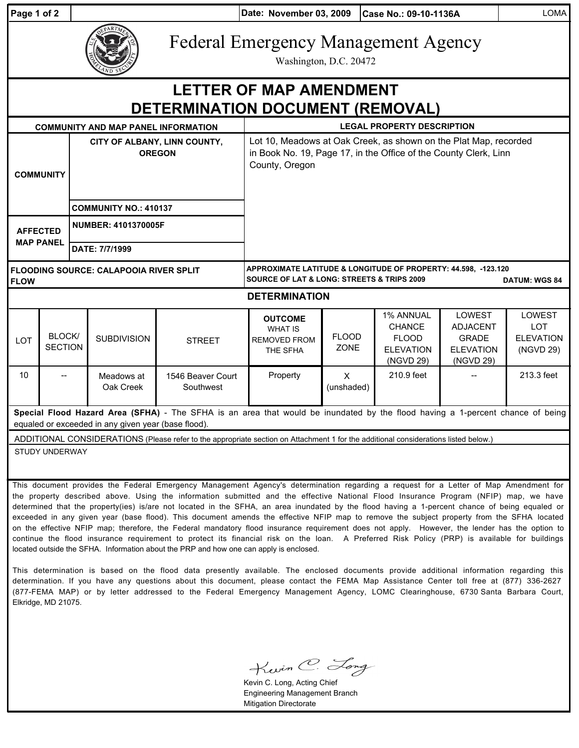| Page 1 of 2                                                                                                                                                                                                                                                                                                                                                                                                                    |                          |                                               |                              |                                | Date: November 03, 2009                                                                                                                                |                             | Case No.: 09-10-1136A                                                       |                                                                                   | <b>LOMA</b>                                           |
|--------------------------------------------------------------------------------------------------------------------------------------------------------------------------------------------------------------------------------------------------------------------------------------------------------------------------------------------------------------------------------------------------------------------------------|--------------------------|-----------------------------------------------|------------------------------|--------------------------------|--------------------------------------------------------------------------------------------------------------------------------------------------------|-----------------------------|-----------------------------------------------------------------------------|-----------------------------------------------------------------------------------|-------------------------------------------------------|
|                                                                                                                                                                                                                                                                                                                                                                                                                                |                          |                                               |                              |                                | <b>Federal Emergency Management Agency</b><br>Washington, D.C. 20472                                                                                   |                             |                                                                             |                                                                                   |                                                       |
| <b>LETTER OF MAP AMENDMENT</b>                                                                                                                                                                                                                                                                                                                                                                                                 |                          |                                               |                              |                                |                                                                                                                                                        |                             |                                                                             |                                                                                   |                                                       |
| <b>DETERMINATION DOCUMENT (REMOVAL)</b>                                                                                                                                                                                                                                                                                                                                                                                        |                          |                                               |                              |                                |                                                                                                                                                        |                             |                                                                             |                                                                                   |                                                       |
| <b>COMMUNITY AND MAP PANEL INFORMATION</b>                                                                                                                                                                                                                                                                                                                                                                                     |                          |                                               |                              |                                | <b>LEGAL PROPERTY DESCRIPTION</b>                                                                                                                      |                             |                                                                             |                                                                                   |                                                       |
| <b>COMMUNITY</b>                                                                                                                                                                                                                                                                                                                                                                                                               |                          | CITY OF ALBANY, LINN COUNTY,<br><b>OREGON</b> |                              |                                | Lot 10, Meadows at Oak Creek, as shown on the Plat Map, recorded<br>in Book No. 19, Page 17, in the Office of the County Clerk, Linn<br>County, Oregon |                             |                                                                             |                                                                                   |                                                       |
|                                                                                                                                                                                                                                                                                                                                                                                                                                |                          |                                               | <b>COMMUNITY NO.: 410137</b> |                                |                                                                                                                                                        |                             |                                                                             |                                                                                   |                                                       |
| <b>AFFECTED</b><br><b>MAP PANEL</b>                                                                                                                                                                                                                                                                                                                                                                                            |                          | <b>NUMBER: 4101370005F</b>                    |                              |                                |                                                                                                                                                        |                             |                                                                             |                                                                                   |                                                       |
|                                                                                                                                                                                                                                                                                                                                                                                                                                |                          |                                               | DATE: 7/7/1999               |                                |                                                                                                                                                        |                             |                                                                             |                                                                                   |                                                       |
| FLOODING SOURCE: CALAPOOIA RIVER SPLIT<br><b>FLOW</b>                                                                                                                                                                                                                                                                                                                                                                          |                          |                                               |                              |                                | APPROXIMATE LATITUDE & LONGITUDE OF PROPERTY: 44.598, -123.120<br><b>SOURCE OF LAT &amp; LONG: STREETS &amp; TRIPS 2009</b><br><b>DATUM: WGS 84</b>    |                             |                                                                             |                                                                                   |                                                       |
| <b>DETERMINATION</b>                                                                                                                                                                                                                                                                                                                                                                                                           |                          |                                               |                              |                                |                                                                                                                                                        |                             |                                                                             |                                                                                   |                                                       |
| LOT                                                                                                                                                                                                                                                                                                                                                                                                                            | BLOCK/<br><b>SECTION</b> |                                               | <b>SUBDIVISION</b>           | <b>STREET</b>                  | <b>OUTCOME</b><br><b>WHAT IS</b><br><b>REMOVED FROM</b><br>THE SFHA                                                                                    | <b>FLOOD</b><br><b>ZONE</b> | 1% ANNUAL<br><b>CHANCE</b><br><b>FLOOD</b><br><b>ELEVATION</b><br>(NGVD 29) | <b>LOWEST</b><br><b>ADJACENT</b><br><b>GRADE</b><br><b>ELEVATION</b><br>(NGVD 29) | LOWEST<br><b>LOT</b><br><b>ELEVATION</b><br>(NGVD 29) |
| 10                                                                                                                                                                                                                                                                                                                                                                                                                             |                          |                                               | Meadows at<br>Oak Creek      | 1546 Beaver Court<br>Southwest | Property                                                                                                                                               | X<br>(unshaded)             | 210.9 feet                                                                  |                                                                                   | 213.3 feet                                            |
| Special Flood Hazard Area (SFHA) - The SFHA is an area that would be inundated by the flood having a 1-percent chance of being<br>equaled or exceeded in any given year (base flood).                                                                                                                                                                                                                                          |                          |                                               |                              |                                |                                                                                                                                                        |                             |                                                                             |                                                                                   |                                                       |
| ADDITIONAL CONSIDERATIONS (Please refer to the appropriate section on Attachment 1 for the additional considerations listed below.)                                                                                                                                                                                                                                                                                            |                          |                                               |                              |                                |                                                                                                                                                        |                             |                                                                             |                                                                                   |                                                       |
| STUDY UNDERWAY                                                                                                                                                                                                                                                                                                                                                                                                                 |                          |                                               |                              |                                |                                                                                                                                                        |                             |                                                                             |                                                                                   |                                                       |
| This document provides the Federal Emergency Management Agency's determination regarding a request for a Letter of Map Amendment for<br>the property described above. Using the information submitted and the effective National Flood Insurance Program (NFIP) map, we have<br>determined that the property(ies) is/are not located in the SFHA, an area inundated by the flood having a 1-percent chance of being equaled or |                          |                                               |                              |                                |                                                                                                                                                        |                             |                                                                             |                                                                                   |                                                       |

exceeded in any given year (base flood). This document amends the effective NFIP map to remove the subject property from the SFHA located on the effective NFIP map; therefore, the Federal mandatory flood insurance requirement does not apply. However, the lender has the option to continue the flood insurance requirement to protect its financial risk on the loan. A Preferred Risk Policy (PRP) is available for buildings located outside the SFHA. Information about the PRP and how one can apply is enclosed.

This determination is based on the flood data presently available. The enclosed documents provide additional information regarding this determination. If you have any questions about this document, please contact the FEMA Map Assistance Center toll free at (877) 336-2627 (877-FEMA MAP) or by letter addressed to the Federal Emergency Management Agency, LOMC Clearinghouse, 6730 Santa Barbara Court, Elkridge, MD 21075.

Kwin C. Long

Kevin C. Long, Acting Chief Engineering Management Branch Mitigation Directorate